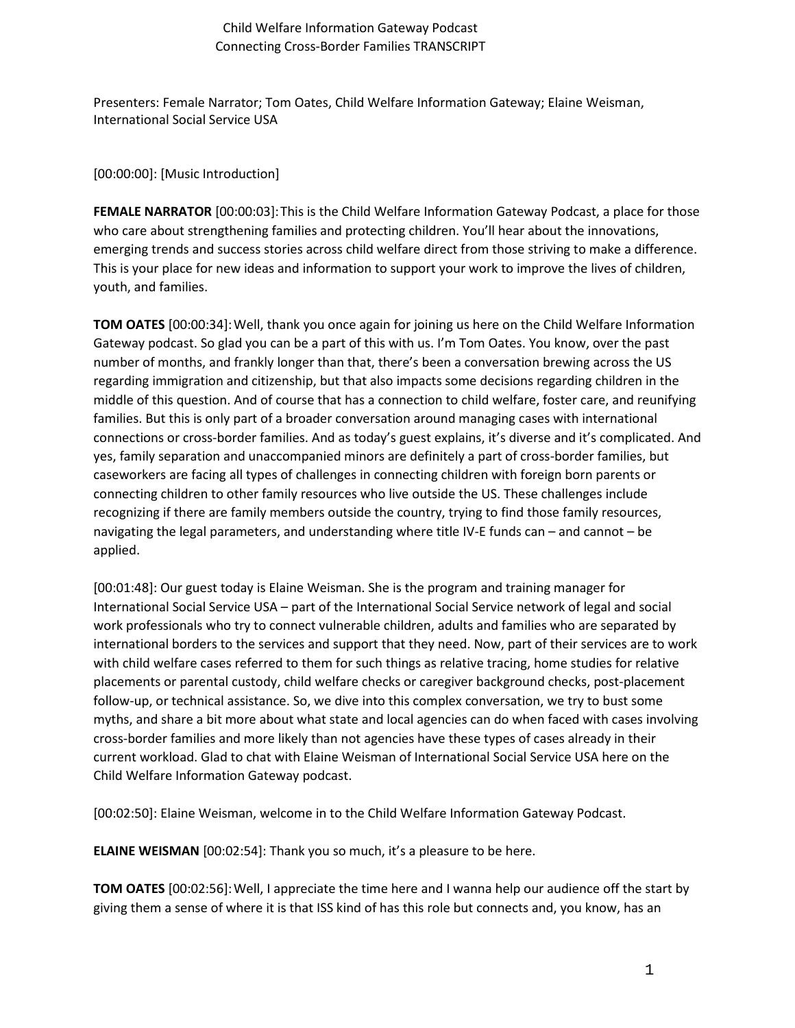Presenters: Female Narrator; Tom Oates, Child Welfare Information Gateway; Elaine Weisman, International Social Service USA

#### [00:00:00]: [Music Introduction]

**FEMALE NARRATOR** [00:00:03]:This is the Child Welfare Information Gateway Podcast, a place for those who care about strengthening families and protecting children. You'll hear about the innovations, emerging trends and success stories across child welfare direct from those striving to make a difference. This is your place for new ideas and information to support your work to improve the lives of children, youth, and families.

**TOM OATES** [00:00:34]:Well, thank you once again for joining us here on the Child Welfare Information Gateway podcast. So glad you can be a part of this with us. I'm Tom Oates. You know, over the past number of months, and frankly longer than that, there's been a conversation brewing across the US regarding immigration and citizenship, but that also impacts some decisions regarding children in the middle of this question. And of course that has a connection to child welfare, foster care, and reunifying families. But this is only part of a broader conversation around managing cases with international connections or cross-border families. And as today's guest explains, it's diverse and it's complicated. And yes, family separation and unaccompanied minors are definitely a part of cross-border families, but caseworkers are facing all types of challenges in connecting children with foreign born parents or connecting children to other family resources who live outside the US. These challenges include recognizing if there are family members outside the country, trying to find those family resources, navigating the legal parameters, and understanding where title IV-E funds can – and cannot – be applied.

[00:01:48]: Our guest today is Elaine Weisman. She is the program and training manager for International Social Service USA – part of the International Social Service network of legal and social work professionals who try to connect vulnerable children, adults and families who are separated by international borders to the services and support that they need. Now, part of their services are to work with child welfare cases referred to them for such things as relative tracing, home studies for relative placements or parental custody, child welfare checks or caregiver background checks, post-placement follow-up, or technical assistance. So, we dive into this complex conversation, we try to bust some myths, and share a bit more about what state and local agencies can do when faced with cases involving cross-border families and more likely than not agencies have these types of cases already in their current workload. Glad to chat with Elaine Weisman of International Social Service USA here on the Child Welfare Information Gateway podcast.

[00:02:50]: Elaine Weisman, welcome in to the Child Welfare Information Gateway Podcast.

**ELAINE WEISMAN** [00:02:54]: Thank you so much, it's a pleasure to be here.

**TOM OATES** [00:02:56]:Well, I appreciate the time here and I wanna help our audience off the start by giving them a sense of where it is that ISS kind of has this role but connects and, you know, has an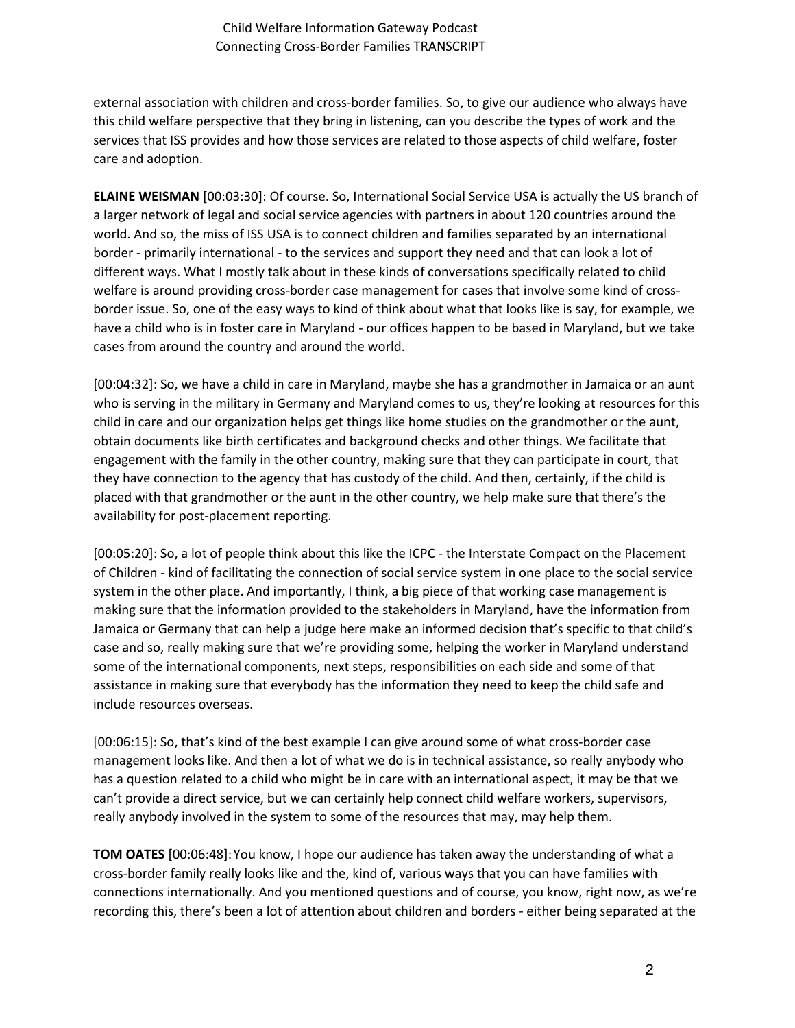external association with children and cross-border families. So, to give our audience who always have this child welfare perspective that they bring in listening, can you describe the types of work and the services that ISS provides and how those services are related to those aspects of child welfare, foster care and adoption.

**ELAINE WEISMAN** [00:03:30]: Of course. So, International Social Service USA is actually the US branch of a larger network of legal and social service agencies with partners in about 120 countries around the world. And so, the miss of ISS USA is to connect children and families separated by an international border - primarily international - to the services and support they need and that can look a lot of different ways. What I mostly talk about in these kinds of conversations specifically related to child welfare is around providing cross-border case management for cases that involve some kind of crossborder issue. So, one of the easy ways to kind of think about what that looks like is say, for example, we have a child who is in foster care in Maryland - our offices happen to be based in Maryland, but we take cases from around the country and around the world.

[00:04:32]: So, we have a child in care in Maryland, maybe she has a grandmother in Jamaica or an aunt who is serving in the military in Germany and Maryland comes to us, they're looking at resources for this child in care and our organization helps get things like home studies on the grandmother or the aunt, obtain documents like birth certificates and background checks and other things. We facilitate that engagement with the family in the other country, making sure that they can participate in court, that they have connection to the agency that has custody of the child. And then, certainly, if the child is placed with that grandmother or the aunt in the other country, we help make sure that there's the availability for post-placement reporting.

[00:05:20]: So, a lot of people think about this like the ICPC - the Interstate Compact on the Placement of Children - kind of facilitating the connection of social service system in one place to the social service system in the other place. And importantly, I think, a big piece of that working case management is making sure that the information provided to the stakeholders in Maryland, have the information from Jamaica or Germany that can help a judge here make an informed decision that's specific to that child's case and so, really making sure that we're providing some, helping the worker in Maryland understand some of the international components, next steps, responsibilities on each side and some of that assistance in making sure that everybody has the information they need to keep the child safe and include resources overseas.

[00:06:15]: So, that's kind of the best example I can give around some of what cross-border case management looks like. And then a lot of what we do is in technical assistance, so really anybody who has a question related to a child who might be in care with an international aspect, it may be that we can't provide a direct service, but we can certainly help connect child welfare workers, supervisors, really anybody involved in the system to some of the resources that may, may help them.

**TOM OATES** [00:06:48]:You know, I hope our audience has taken away the understanding of what a cross-border family really looks like and the, kind of, various ways that you can have families with connections internationally. And you mentioned questions and of course, you know, right now, as we're recording this, there's been a lot of attention about children and borders - either being separated at the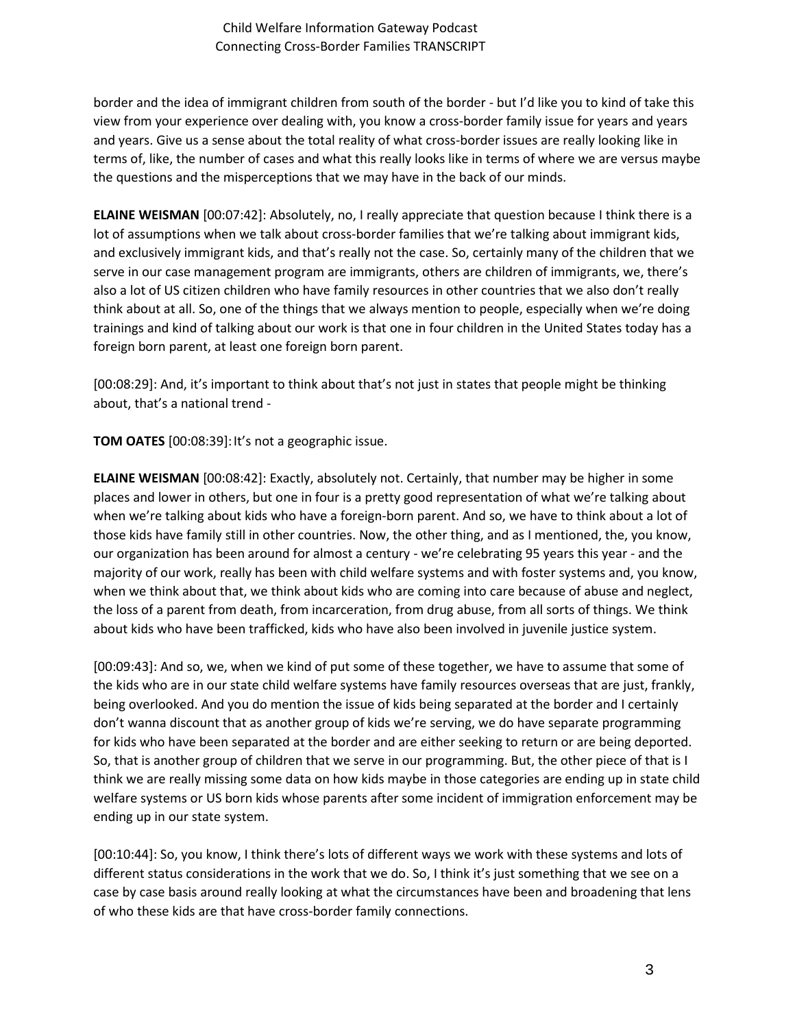border and the idea of immigrant children from south of the border - but I'd like you to kind of take this view from your experience over dealing with, you know a cross-border family issue for years and years and years. Give us a sense about the total reality of what cross-border issues are really looking like in terms of, like, the number of cases and what this really looks like in terms of where we are versus maybe the questions and the misperceptions that we may have in the back of our minds.

**ELAINE WEISMAN** [00:07:42]: Absolutely, no, I really appreciate that question because I think there is a lot of assumptions when we talk about cross-border families that we're talking about immigrant kids, and exclusively immigrant kids, and that's really not the case. So, certainly many of the children that we serve in our case management program are immigrants, others are children of immigrants, we, there's also a lot of US citizen children who have family resources in other countries that we also don't really think about at all. So, one of the things that we always mention to people, especially when we're doing trainings and kind of talking about our work is that one in four children in the United States today has a foreign born parent, at least one foreign born parent.

[00:08:29]: And, it's important to think about that's not just in states that people might be thinking about, that's a national trend -

**TOM OATES** [00:08:39]:It's not a geographic issue.

**ELAINE WEISMAN** [00:08:42]: Exactly, absolutely not. Certainly, that number may be higher in some places and lower in others, but one in four is a pretty good representation of what we're talking about when we're talking about kids who have a foreign-born parent. And so, we have to think about a lot of those kids have family still in other countries. Now, the other thing, and as I mentioned, the, you know, our organization has been around for almost a century - we're celebrating 95 years this year - and the majority of our work, really has been with child welfare systems and with foster systems and, you know, when we think about that, we think about kids who are coming into care because of abuse and neglect, the loss of a parent from death, from incarceration, from drug abuse, from all sorts of things. We think about kids who have been trafficked, kids who have also been involved in juvenile justice system.

[00:09:43]: And so, we, when we kind of put some of these together, we have to assume that some of the kids who are in our state child welfare systems have family resources overseas that are just, frankly, being overlooked. And you do mention the issue of kids being separated at the border and I certainly don't wanna discount that as another group of kids we're serving, we do have separate programming for kids who have been separated at the border and are either seeking to return or are being deported. So, that is another group of children that we serve in our programming. But, the other piece of that is I think we are really missing some data on how kids maybe in those categories are ending up in state child welfare systems or US born kids whose parents after some incident of immigration enforcement may be ending up in our state system.

[00:10:44]: So, you know, I think there's lots of different ways we work with these systems and lots of different status considerations in the work that we do. So, I think it's just something that we see on a case by case basis around really looking at what the circumstances have been and broadening that lens of who these kids are that have cross-border family connections.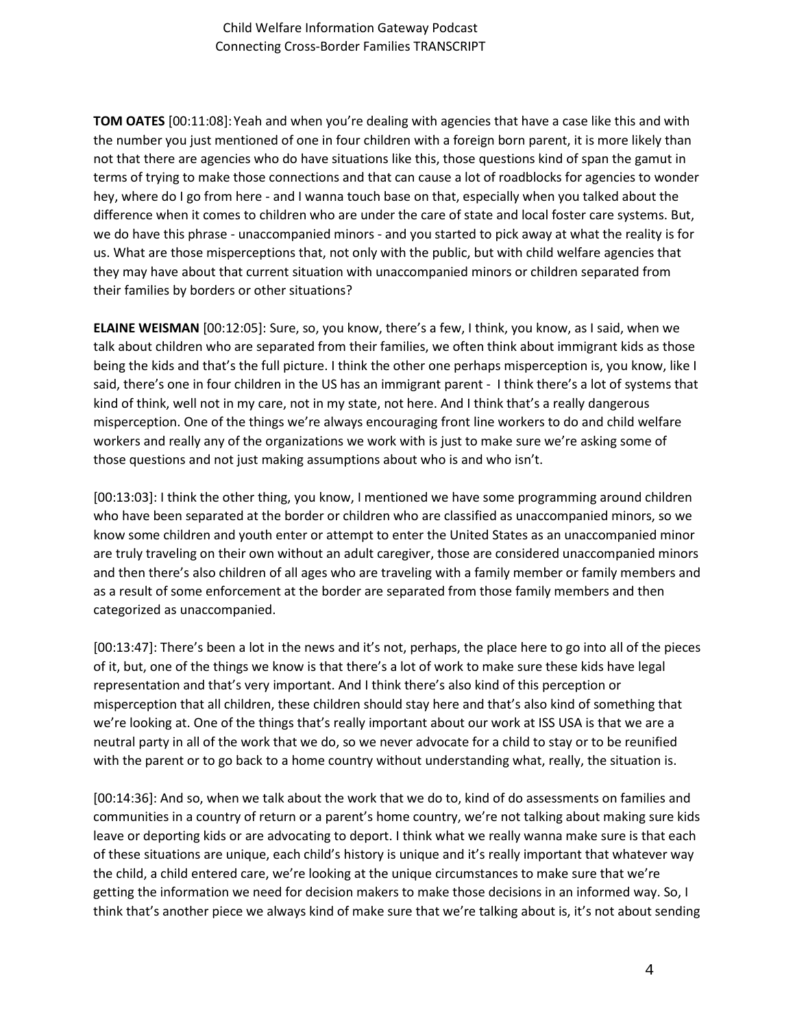**TOM OATES** [00:11:08]:Yeah and when you're dealing with agencies that have a case like this and with the number you just mentioned of one in four children with a foreign born parent, it is more likely than not that there are agencies who do have situations like this, those questions kind of span the gamut in terms of trying to make those connections and that can cause a lot of roadblocks for agencies to wonder hey, where do I go from here - and I wanna touch base on that, especially when you talked about the difference when it comes to children who are under the care of state and local foster care systems. But, we do have this phrase - unaccompanied minors - and you started to pick away at what the reality is for us. What are those misperceptions that, not only with the public, but with child welfare agencies that they may have about that current situation with unaccompanied minors or children separated from their families by borders or other situations?

**ELAINE WEISMAN** [00:12:05]: Sure, so, you know, there's a few, I think, you know, as I said, when we talk about children who are separated from their families, we often think about immigrant kids as those being the kids and that's the full picture. I think the other one perhaps misperception is, you know, like I said, there's one in four children in the US has an immigrant parent - I think there's a lot of systems that kind of think, well not in my care, not in my state, not here. And I think that's a really dangerous misperception. One of the things we're always encouraging front line workers to do and child welfare workers and really any of the organizations we work with is just to make sure we're asking some of those questions and not just making assumptions about who is and who isn't.

[00:13:03]: I think the other thing, you know, I mentioned we have some programming around children who have been separated at the border or children who are classified as unaccompanied minors, so we know some children and youth enter or attempt to enter the United States as an unaccompanied minor are truly traveling on their own without an adult caregiver, those are considered unaccompanied minors and then there's also children of all ages who are traveling with a family member or family members and as a result of some enforcement at the border are separated from those family members and then categorized as unaccompanied.

[00:13:47]: There's been a lot in the news and it's not, perhaps, the place here to go into all of the pieces of it, but, one of the things we know is that there's a lot of work to make sure these kids have legal representation and that's very important. And I think there's also kind of this perception or misperception that all children, these children should stay here and that's also kind of something that we're looking at. One of the things that's really important about our work at ISS USA is that we are a neutral party in all of the work that we do, so we never advocate for a child to stay or to be reunified with the parent or to go back to a home country without understanding what, really, the situation is.

[00:14:36]: And so, when we talk about the work that we do to, kind of do assessments on families and communities in a country of return or a parent's home country, we're not talking about making sure kids leave or deporting kids or are advocating to deport. I think what we really wanna make sure is that each of these situations are unique, each child's history is unique and it's really important that whatever way the child, a child entered care, we're looking at the unique circumstances to make sure that we're getting the information we need for decision makers to make those decisions in an informed way. So, I think that's another piece we always kind of make sure that we're talking about is, it's not about sending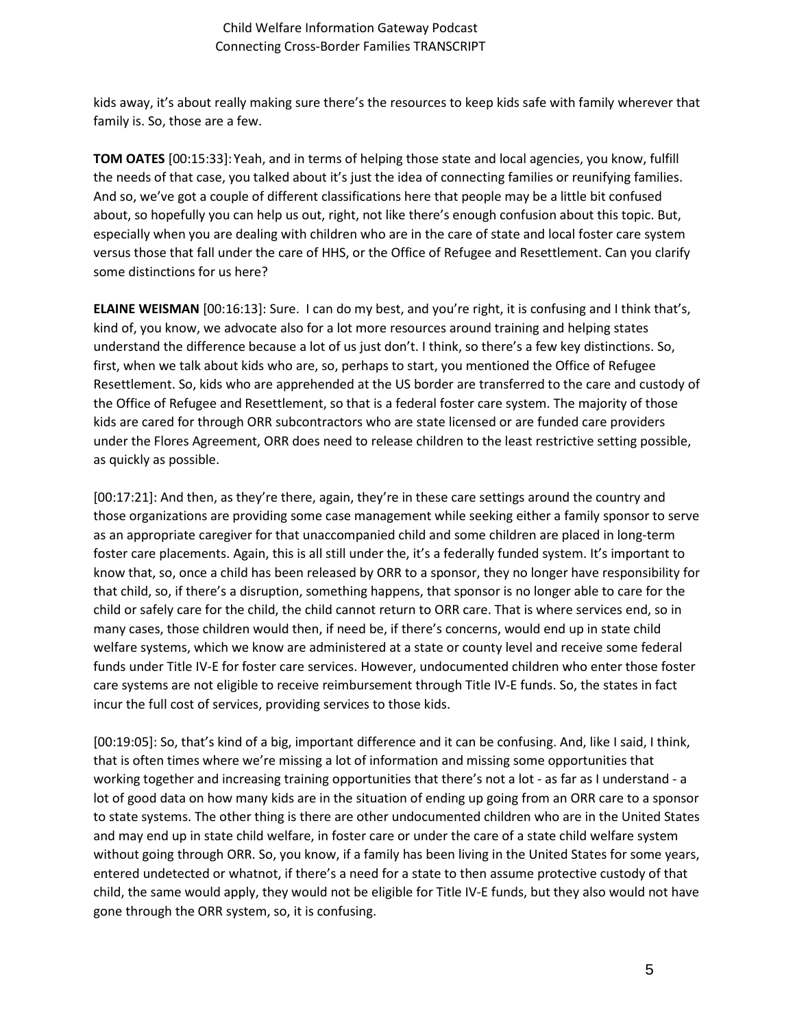kids away, it's about really making sure there's the resources to keep kids safe with family wherever that family is. So, those are a few.

**TOM OATES** [00:15:33]:Yeah, and in terms of helping those state and local agencies, you know, fulfill the needs of that case, you talked about it's just the idea of connecting families or reunifying families. And so, we've got a couple of different classifications here that people may be a little bit confused about, so hopefully you can help us out, right, not like there's enough confusion about this topic. But, especially when you are dealing with children who are in the care of state and local foster care system versus those that fall under the care of HHS, or the Office of Refugee and Resettlement. Can you clarify some distinctions for us here?

**ELAINE WEISMAN** [00:16:13]: Sure. I can do my best, and you're right, it is confusing and I think that's, kind of, you know, we advocate also for a lot more resources around training and helping states understand the difference because a lot of us just don't. I think, so there's a few key distinctions. So, first, when we talk about kids who are, so, perhaps to start, you mentioned the Office of Refugee Resettlement. So, kids who are apprehended at the US border are transferred to the care and custody of the Office of Refugee and Resettlement, so that is a federal foster care system. The majority of those kids are cared for through ORR subcontractors who are state licensed or are funded care providers under the Flores Agreement, ORR does need to release children to the least restrictive setting possible, as quickly as possible.

[00:17:21]: And then, as they're there, again, they're in these care settings around the country and those organizations are providing some case management while seeking either a family sponsor to serve as an appropriate caregiver for that unaccompanied child and some children are placed in long-term foster care placements. Again, this is all still under the, it's a federally funded system. It's important to know that, so, once a child has been released by ORR to a sponsor, they no longer have responsibility for that child, so, if there's a disruption, something happens, that sponsor is no longer able to care for the child or safely care for the child, the child cannot return to ORR care. That is where services end, so in many cases, those children would then, if need be, if there's concerns, would end up in state child welfare systems, which we know are administered at a state or county level and receive some federal funds under Title IV-E for foster care services. However, undocumented children who enter those foster care systems are not eligible to receive reimbursement through Title IV-E funds. So, the states in fact incur the full cost of services, providing services to those kids.

[00:19:05]: So, that's kind of a big, important difference and it can be confusing. And, like I said, I think, that is often times where we're missing a lot of information and missing some opportunities that working together and increasing training opportunities that there's not a lot - as far as I understand - a lot of good data on how many kids are in the situation of ending up going from an ORR care to a sponsor to state systems. The other thing is there are other undocumented children who are in the United States and may end up in state child welfare, in foster care or under the care of a state child welfare system without going through ORR. So, you know, if a family has been living in the United States for some years, entered undetected or whatnot, if there's a need for a state to then assume protective custody of that child, the same would apply, they would not be eligible for Title IV-E funds, but they also would not have gone through the ORR system, so, it is confusing.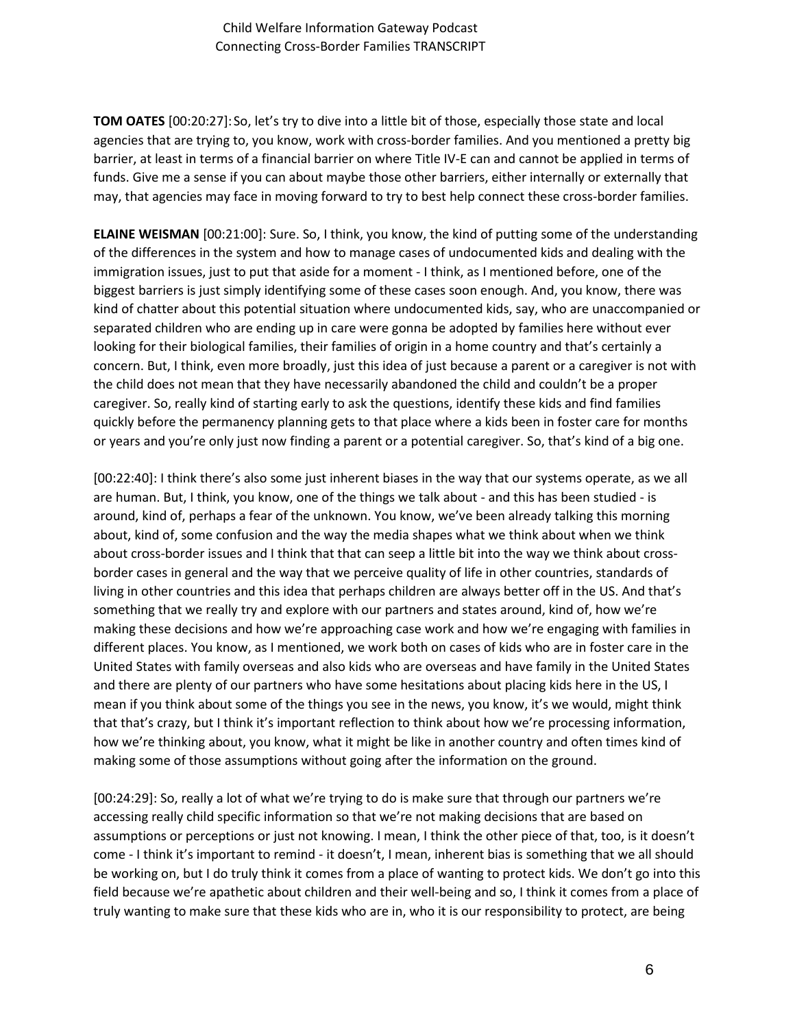**TOM OATES** [00:20:27]:So, let's try to dive into a little bit of those, especially those state and local agencies that are trying to, you know, work with cross-border families. And you mentioned a pretty big barrier, at least in terms of a financial barrier on where Title IV-E can and cannot be applied in terms of funds. Give me a sense if you can about maybe those other barriers, either internally or externally that may, that agencies may face in moving forward to try to best help connect these cross-border families.

**ELAINE WEISMAN** [00:21:00]: Sure. So, I think, you know, the kind of putting some of the understanding of the differences in the system and how to manage cases of undocumented kids and dealing with the immigration issues, just to put that aside for a moment - I think, as I mentioned before, one of the biggest barriers is just simply identifying some of these cases soon enough. And, you know, there was kind of chatter about this potential situation where undocumented kids, say, who are unaccompanied or separated children who are ending up in care were gonna be adopted by families here without ever looking for their biological families, their families of origin in a home country and that's certainly a concern. But, I think, even more broadly, just this idea of just because a parent or a caregiver is not with the child does not mean that they have necessarily abandoned the child and couldn't be a proper caregiver. So, really kind of starting early to ask the questions, identify these kids and find families quickly before the permanency planning gets to that place where a kids been in foster care for months or years and you're only just now finding a parent or a potential caregiver. So, that's kind of a big one.

[00:22:40]: I think there's also some just inherent biases in the way that our systems operate, as we all are human. But, I think, you know, one of the things we talk about - and this has been studied - is around, kind of, perhaps a fear of the unknown. You know, we've been already talking this morning about, kind of, some confusion and the way the media shapes what we think about when we think about cross-border issues and I think that that can seep a little bit into the way we think about crossborder cases in general and the way that we perceive quality of life in other countries, standards of living in other countries and this idea that perhaps children are always better off in the US. And that's something that we really try and explore with our partners and states around, kind of, how we're making these decisions and how we're approaching case work and how we're engaging with families in different places. You know, as I mentioned, we work both on cases of kids who are in foster care in the United States with family overseas and also kids who are overseas and have family in the United States and there are plenty of our partners who have some hesitations about placing kids here in the US, I mean if you think about some of the things you see in the news, you know, it's we would, might think that that's crazy, but I think it's important reflection to think about how we're processing information, how we're thinking about, you know, what it might be like in another country and often times kind of making some of those assumptions without going after the information on the ground.

[00:24:29]: So, really a lot of what we're trying to do is make sure that through our partners we're accessing really child specific information so that we're not making decisions that are based on assumptions or perceptions or just not knowing. I mean, I think the other piece of that, too, is it doesn't come - I think it's important to remind - it doesn't, I mean, inherent bias is something that we all should be working on, but I do truly think it comes from a place of wanting to protect kids. We don't go into this field because we're apathetic about children and their well-being and so, I think it comes from a place of truly wanting to make sure that these kids who are in, who it is our responsibility to protect, are being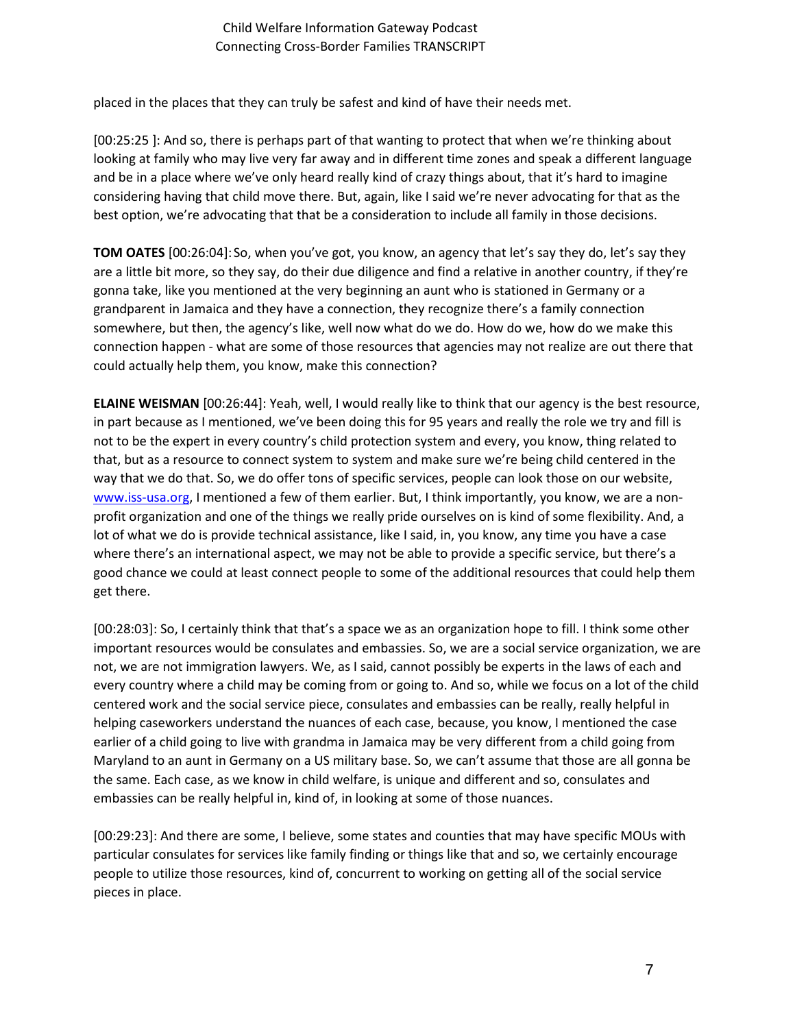placed in the places that they can truly be safest and kind of have their needs met.

[00:25:25 ]: And so, there is perhaps part of that wanting to protect that when we're thinking about looking at family who may live very far away and in different time zones and speak a different language and be in a place where we've only heard really kind of crazy things about, that it's hard to imagine considering having that child move there. But, again, like I said we're never advocating for that as the best option, we're advocating that that be a consideration to include all family in those decisions.

**TOM OATES** [00:26:04]:So, when you've got, you know, an agency that let's say they do, let's say they are a little bit more, so they say, do their due diligence and find a relative in another country, if they're gonna take, like you mentioned at the very beginning an aunt who is stationed in Germany or a grandparent in Jamaica and they have a connection, they recognize there's a family connection somewhere, but then, the agency's like, well now what do we do. How do we, how do we make this connection happen - what are some of those resources that agencies may not realize are out there that could actually help them, you know, make this connection?

**ELAINE WEISMAN** [00:26:44]: Yeah, well, I would really like to think that our agency is the best resource, in part because as I mentioned, we've been doing this for 95 years and really the role we try and fill is not to be the expert in every country's child protection system and every, you know, thing related to that, but as a resource to connect system to system and make sure we're being child centered in the way that we do that. So, we do offer tons of specific services, people can look those on our website, [www.iss-usa.org,](http://www.iss-usa.org/) I mentioned a few of them earlier. But, I think importantly, you know, we are a nonprofit organization and one of the things we really pride ourselves on is kind of some flexibility. And, a lot of what we do is provide technical assistance, like I said, in, you know, any time you have a case where there's an international aspect, we may not be able to provide a specific service, but there's a good chance we could at least connect people to some of the additional resources that could help them get there.

[00:28:03]: So, I certainly think that that's a space we as an organization hope to fill. I think some other important resources would be consulates and embassies. So, we are a social service organization, we are not, we are not immigration lawyers. We, as I said, cannot possibly be experts in the laws of each and every country where a child may be coming from or going to. And so, while we focus on a lot of the child centered work and the social service piece, consulates and embassies can be really, really helpful in helping caseworkers understand the nuances of each case, because, you know, I mentioned the case earlier of a child going to live with grandma in Jamaica may be very different from a child going from Maryland to an aunt in Germany on a US military base. So, we can't assume that those are all gonna be the same. Each case, as we know in child welfare, is unique and different and so, consulates and embassies can be really helpful in, kind of, in looking at some of those nuances.

[00:29:23]: And there are some, I believe, some states and counties that may have specific MOUs with particular consulates for services like family finding or things like that and so, we certainly encourage people to utilize those resources, kind of, concurrent to working on getting all of the social service pieces in place.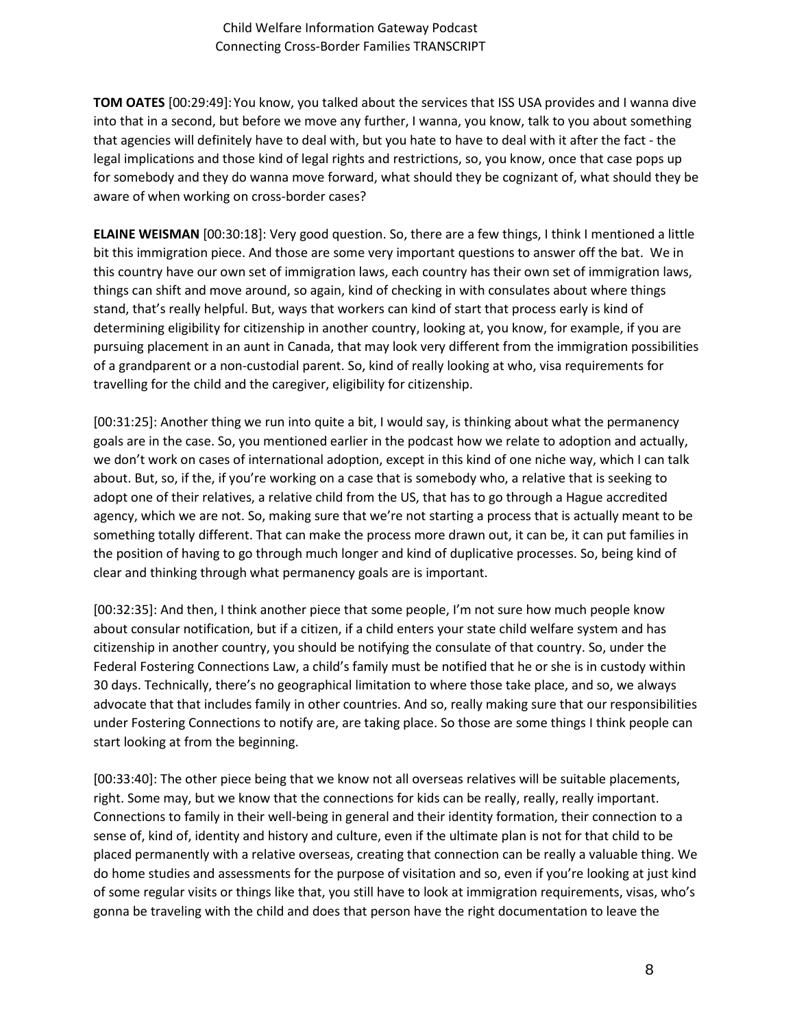**TOM OATES** [00:29:49]:You know, you talked about the services that ISS USA provides and I wanna dive into that in a second, but before we move any further, I wanna, you know, talk to you about something that agencies will definitely have to deal with, but you hate to have to deal with it after the fact - the legal implications and those kind of legal rights and restrictions, so, you know, once that case pops up for somebody and they do wanna move forward, what should they be cognizant of, what should they be aware of when working on cross-border cases?

**ELAINE WEISMAN** [00:30:18]: Very good question. So, there are a few things, I think I mentioned a little bit this immigration piece. And those are some very important questions to answer off the bat. We in this country have our own set of immigration laws, each country has their own set of immigration laws, things can shift and move around, so again, kind of checking in with consulates about where things stand, that's really helpful. But, ways that workers can kind of start that process early is kind of determining eligibility for citizenship in another country, looking at, you know, for example, if you are pursuing placement in an aunt in Canada, that may look very different from the immigration possibilities of a grandparent or a non-custodial parent. So, kind of really looking at who, visa requirements for travelling for the child and the caregiver, eligibility for citizenship.

[00:31:25]: Another thing we run into quite a bit, I would say, is thinking about what the permanency goals are in the case. So, you mentioned earlier in the podcast how we relate to adoption and actually, we don't work on cases of international adoption, except in this kind of one niche way, which I can talk about. But, so, if the, if you're working on a case that is somebody who, a relative that is seeking to adopt one of their relatives, a relative child from the US, that has to go through a Hague accredited agency, which we are not. So, making sure that we're not starting a process that is actually meant to be something totally different. That can make the process more drawn out, it can be, it can put families in the position of having to go through much longer and kind of duplicative processes. So, being kind of clear and thinking through what permanency goals are is important.

[00:32:35]: And then, I think another piece that some people, I'm not sure how much people know about consular notification, but if a citizen, if a child enters your state child welfare system and has citizenship in another country, you should be notifying the consulate of that country. So, under the Federal Fostering Connections Law, a child's family must be notified that he or she is in custody within 30 days. Technically, there's no geographical limitation to where those take place, and so, we always advocate that that includes family in other countries. And so, really making sure that our responsibilities under Fostering Connections to notify are, are taking place. So those are some things I think people can start looking at from the beginning.

[00:33:40]: The other piece being that we know not all overseas relatives will be suitable placements, right. Some may, but we know that the connections for kids can be really, really, really important. Connections to family in their well-being in general and their identity formation, their connection to a sense of, kind of, identity and history and culture, even if the ultimate plan is not for that child to be placed permanently with a relative overseas, creating that connection can be really a valuable thing. We do home studies and assessments for the purpose of visitation and so, even if you're looking at just kind of some regular visits or things like that, you still have to look at immigration requirements, visas, who's gonna be traveling with the child and does that person have the right documentation to leave the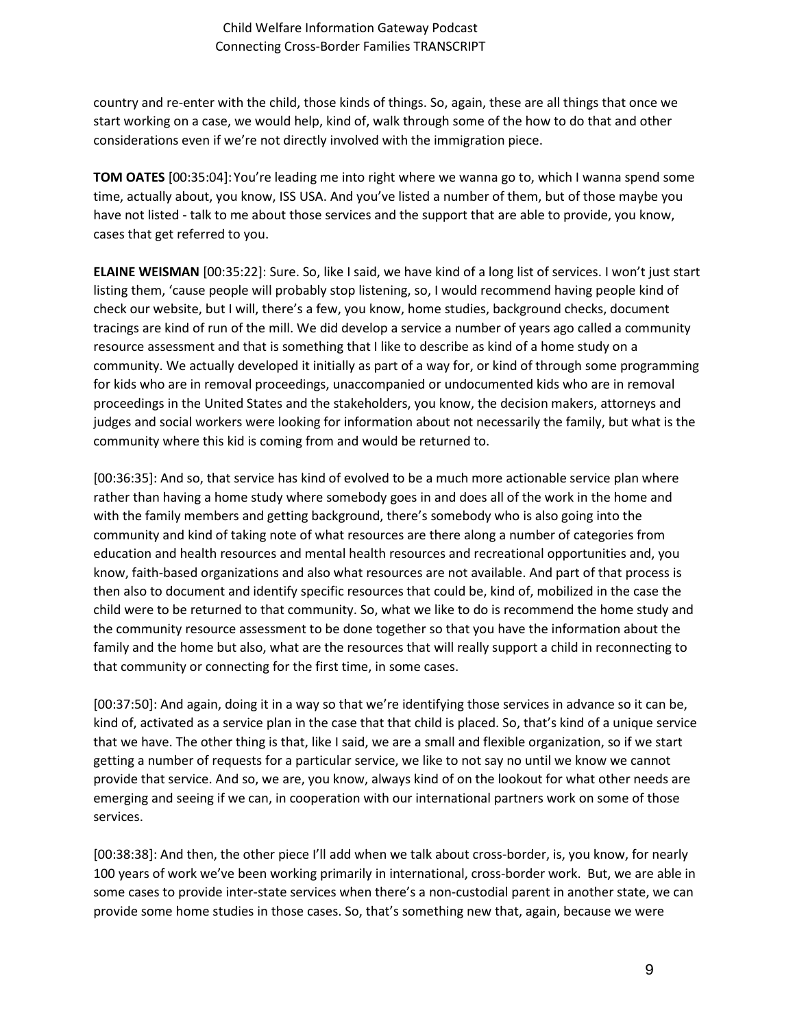country and re-enter with the child, those kinds of things. So, again, these are all things that once we start working on a case, we would help, kind of, walk through some of the how to do that and other considerations even if we're not directly involved with the immigration piece.

**TOM OATES** [00:35:04]:You're leading me into right where we wanna go to, which I wanna spend some time, actually about, you know, ISS USA. And you've listed a number of them, but of those maybe you have not listed - talk to me about those services and the support that are able to provide, you know, cases that get referred to you.

**ELAINE WEISMAN** [00:35:22]: Sure. So, like I said, we have kind of a long list of services. I won't just start listing them, 'cause people will probably stop listening, so, I would recommend having people kind of check our website, but I will, there's a few, you know, home studies, background checks, document tracings are kind of run of the mill. We did develop a service a number of years ago called a community resource assessment and that is something that I like to describe as kind of a home study on a community. We actually developed it initially as part of a way for, or kind of through some programming for kids who are in removal proceedings, unaccompanied or undocumented kids who are in removal proceedings in the United States and the stakeholders, you know, the decision makers, attorneys and judges and social workers were looking for information about not necessarily the family, but what is the community where this kid is coming from and would be returned to.

[00:36:35]: And so, that service has kind of evolved to be a much more actionable service plan where rather than having a home study where somebody goes in and does all of the work in the home and with the family members and getting background, there's somebody who is also going into the community and kind of taking note of what resources are there along a number of categories from education and health resources and mental health resources and recreational opportunities and, you know, faith-based organizations and also what resources are not available. And part of that process is then also to document and identify specific resources that could be, kind of, mobilized in the case the child were to be returned to that community. So, what we like to do is recommend the home study and the community resource assessment to be done together so that you have the information about the family and the home but also, what are the resources that will really support a child in reconnecting to that community or connecting for the first time, in some cases.

[00:37:50]: And again, doing it in a way so that we're identifying those services in advance so it can be, kind of, activated as a service plan in the case that that child is placed. So, that's kind of a unique service that we have. The other thing is that, like I said, we are a small and flexible organization, so if we start getting a number of requests for a particular service, we like to not say no until we know we cannot provide that service. And so, we are, you know, always kind of on the lookout for what other needs are emerging and seeing if we can, in cooperation with our international partners work on some of those services.

[00:38:38]: And then, the other piece I'll add when we talk about cross-border, is, you know, for nearly 100 years of work we've been working primarily in international, cross-border work. But, we are able in some cases to provide inter-state services when there's a non-custodial parent in another state, we can provide some home studies in those cases. So, that's something new that, again, because we were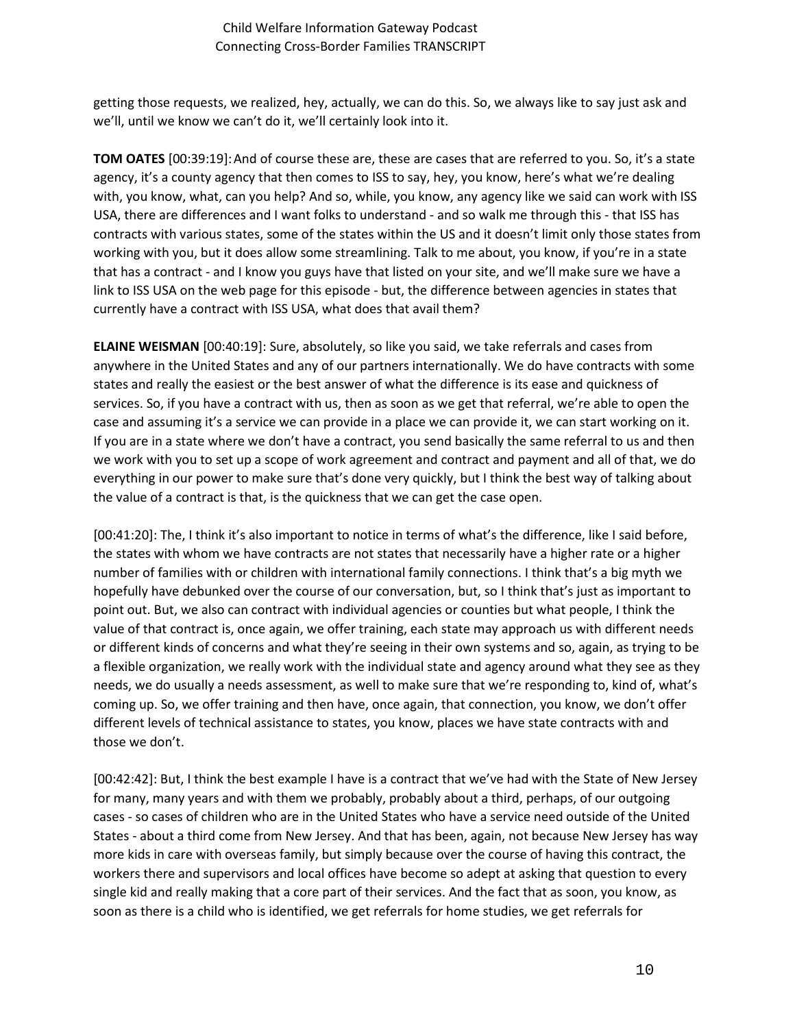getting those requests, we realized, hey, actually, we can do this. So, we always like to say just ask and we'll, until we know we can't do it, we'll certainly look into it.

**TOM OATES** [00:39:19]:And of course these are, these are cases that are referred to you. So, it's a state agency, it's a county agency that then comes to ISS to say, hey, you know, here's what we're dealing with, you know, what, can you help? And so, while, you know, any agency like we said can work with ISS USA, there are differences and I want folks to understand - and so walk me through this - that ISS has contracts with various states, some of the states within the US and it doesn't limit only those states from working with you, but it does allow some streamlining. Talk to me about, you know, if you're in a state that has a contract - and I know you guys have that listed on your site, and we'll make sure we have a link to ISS USA on the web page for this episode - but, the difference between agencies in states that currently have a contract with ISS USA, what does that avail them?

**ELAINE WEISMAN** [00:40:19]: Sure, absolutely, so like you said, we take referrals and cases from anywhere in the United States and any of our partners internationally. We do have contracts with some states and really the easiest or the best answer of what the difference is its ease and quickness of services. So, if you have a contract with us, then as soon as we get that referral, we're able to open the case and assuming it's a service we can provide in a place we can provide it, we can start working on it. If you are in a state where we don't have a contract, you send basically the same referral to us and then we work with you to set up a scope of work agreement and contract and payment and all of that, we do everything in our power to make sure that's done very quickly, but I think the best way of talking about the value of a contract is that, is the quickness that we can get the case open.

[00:41:20]: The, I think it's also important to notice in terms of what's the difference, like I said before, the states with whom we have contracts are not states that necessarily have a higher rate or a higher number of families with or children with international family connections. I think that's a big myth we hopefully have debunked over the course of our conversation, but, so I think that's just as important to point out. But, we also can contract with individual agencies or counties but what people, I think the value of that contract is, once again, we offer training, each state may approach us with different needs or different kinds of concerns and what they're seeing in their own systems and so, again, as trying to be a flexible organization, we really work with the individual state and agency around what they see as they needs, we do usually a needs assessment, as well to make sure that we're responding to, kind of, what's coming up. So, we offer training and then have, once again, that connection, you know, we don't offer different levels of technical assistance to states, you know, places we have state contracts with and those we don't.

[00:42:42]: But, I think the best example I have is a contract that we've had with the State of New Jersey for many, many years and with them we probably, probably about a third, perhaps, of our outgoing cases - so cases of children who are in the United States who have a service need outside of the United States - about a third come from New Jersey. And that has been, again, not because New Jersey has way more kids in care with overseas family, but simply because over the course of having this contract, the workers there and supervisors and local offices have become so adept at asking that question to every single kid and really making that a core part of their services. And the fact that as soon, you know, as soon as there is a child who is identified, we get referrals for home studies, we get referrals for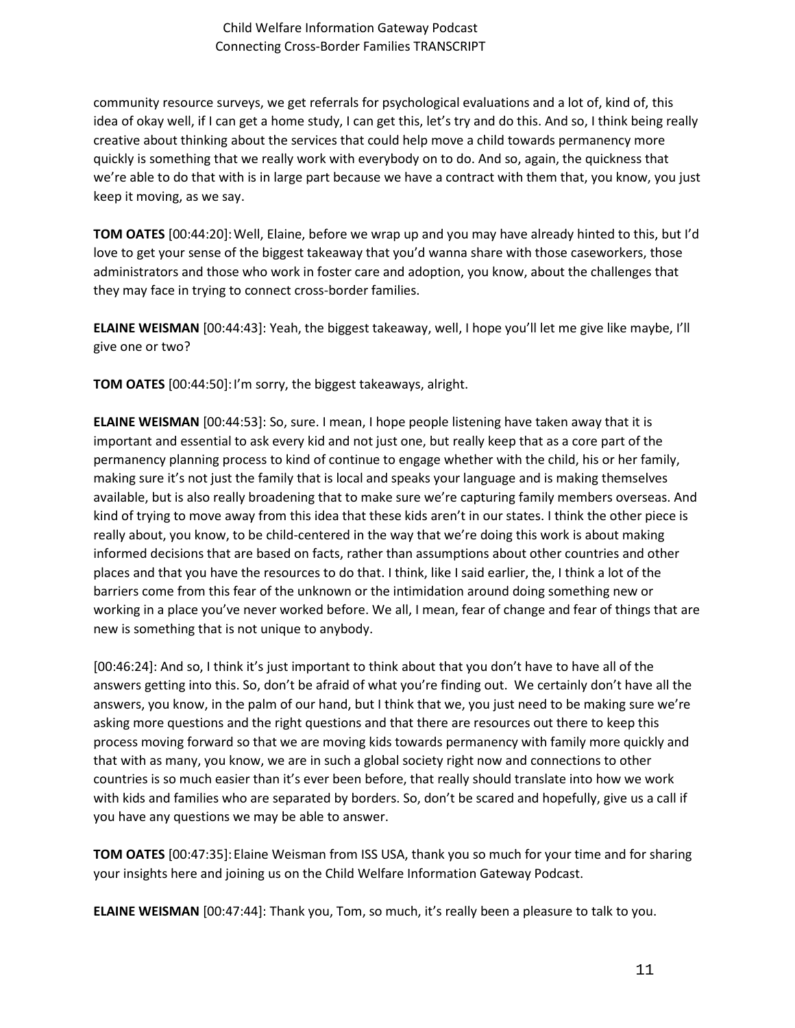community resource surveys, we get referrals for psychological evaluations and a lot of, kind of, this idea of okay well, if I can get a home study, I can get this, let's try and do this. And so, I think being really creative about thinking about the services that could help move a child towards permanency more quickly is something that we really work with everybody on to do. And so, again, the quickness that we're able to do that with is in large part because we have a contract with them that, you know, you just keep it moving, as we say.

**TOM OATES** [00:44:20]:Well, Elaine, before we wrap up and you may have already hinted to this, but I'd love to get your sense of the biggest takeaway that you'd wanna share with those caseworkers, those administrators and those who work in foster care and adoption, you know, about the challenges that they may face in trying to connect cross-border families.

**ELAINE WEISMAN** [00:44:43]: Yeah, the biggest takeaway, well, I hope you'll let me give like maybe, I'll give one or two?

**TOM OATES** [00:44:50]:I'm sorry, the biggest takeaways, alright.

**ELAINE WEISMAN** [00:44:53]: So, sure. I mean, I hope people listening have taken away that it is important and essential to ask every kid and not just one, but really keep that as a core part of the permanency planning process to kind of continue to engage whether with the child, his or her family, making sure it's not just the family that is local and speaks your language and is making themselves available, but is also really broadening that to make sure we're capturing family members overseas. And kind of trying to move away from this idea that these kids aren't in our states. I think the other piece is really about, you know, to be child-centered in the way that we're doing this work is about making informed decisions that are based on facts, rather than assumptions about other countries and other places and that you have the resources to do that. I think, like I said earlier, the, I think a lot of the barriers come from this fear of the unknown or the intimidation around doing something new or working in a place you've never worked before. We all, I mean, fear of change and fear of things that are new is something that is not unique to anybody.

[00:46:24]: And so, I think it's just important to think about that you don't have to have all of the answers getting into this. So, don't be afraid of what you're finding out. We certainly don't have all the answers, you know, in the palm of our hand, but I think that we, you just need to be making sure we're asking more questions and the right questions and that there are resources out there to keep this process moving forward so that we are moving kids towards permanency with family more quickly and that with as many, you know, we are in such a global society right now and connections to other countries is so much easier than it's ever been before, that really should translate into how we work with kids and families who are separated by borders. So, don't be scared and hopefully, give us a call if you have any questions we may be able to answer.

**TOM OATES** [00:47:35]:Elaine Weisman from ISS USA, thank you so much for your time and for sharing your insights here and joining us on the Child Welfare Information Gateway Podcast.

**ELAINE WEISMAN** [00:47:44]: Thank you, Tom, so much, it's really been a pleasure to talk to you.